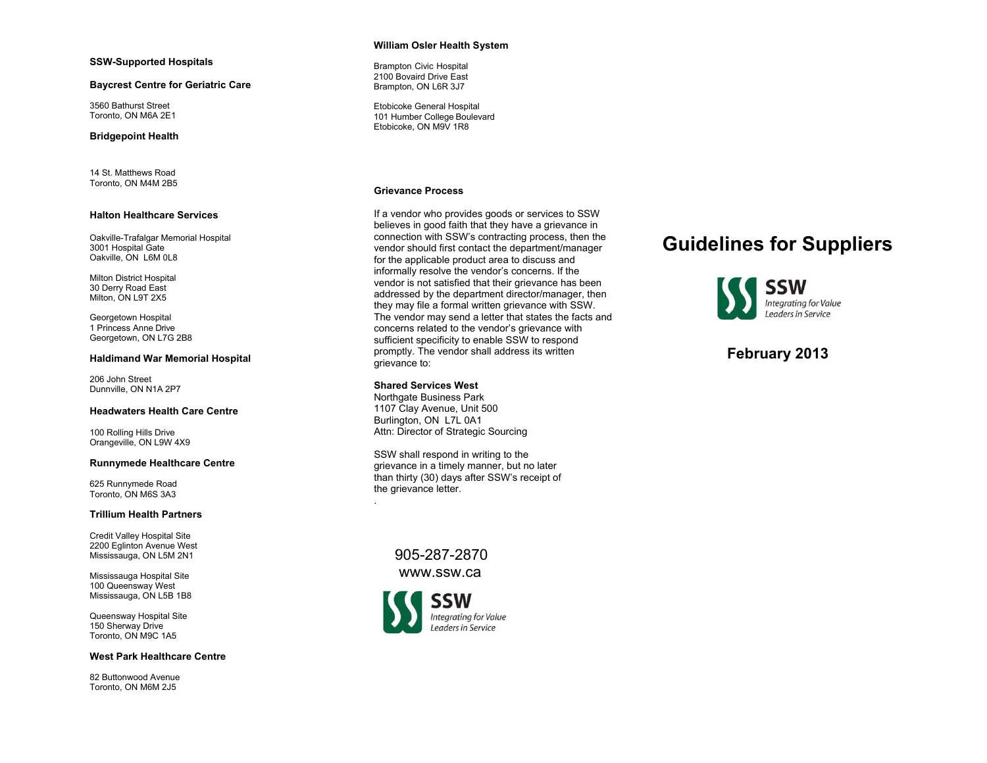#### **SSW-Supported Hospitals**

#### **Baycrest Centre for Geriatric Care**

3560 Bathurst Street Toronto, ON M6A 2E1

#### **Bridgepoint Health**

14 St. Matthews Road Toronto, ON M4M 2B5

#### **Halton Healthcare Services**

Oakville-Trafalgar Memorial Hospital 3001 Hospital Gate Oakville, ON L6M 0L8

Milton District Hospital 30 Derry Road East Milton, ON L9T 2X5

Georgetown Hospital 1 Princess Anne Drive Georgetown, ON L7G 2B8

#### **Haldimand War Memorial Hospital**

206 John Street Dunnville, ON N1A 2P7

#### **Headwaters Health Care Centre**

100 Rolling Hills Drive Orangeville, ON L9W 4X9

#### **Runnymede Healthcare Centre**

625 Runnymede Road Toronto, ON M6S 3A3

#### **Trillium Health Partners**

Credit Valley Hospital Site 2200 Eglinton Avenue West Mississauga, ON L5M 2N1

Mississauga Hospital Site 100 Queensway West Mississauga, ON L5B 1B8

Queensway Hospital Site 150 Sherway Drive Toronto, ON M9C 1A5

#### **West Park Healthcare Centre**

82 Buttonwood Avenue Toronto, ON M6M 2J5

#### **William Osler Health System**

Brampton Civic Hospital 2100 Bovaird Drive East Brampton, ON L6R 3J7

Etobicoke General Hospital 101 Humber College Boulevard Etobicoke, ON M9V 1R8

#### **Grievance Process**

If a vendor who provides goods or services to SSW believes in good faith that they have a grievance in connection with SSW's contracting process, then the vendor should first contact the department/manager for the applicable product area to discuss and informally resolve the vendor's concerns. If the vendor is not satisfied that their grievance has been addressed by the department director/manager, then they may file a formal written grievance with SSW. The vendor may send a letter that states the facts and concerns related to the vendor's grievance with sufficient specificity to enable SSW to respond promptly. The vendor shall address its written grievance to:

#### **Shared Services West**

.

Northgate Business Park 1107 Clay Avenue, Unit 500 Burlington, ON L7L 0A1 Attn: Director of Strategic Sourcing

SSW shall respond in writing to the grievance in a timely manner, but no later than thirty (30) days after SSW's receipt of the grievance letter.

> 905-287-2870 www.ssw.ca



# **Guidelines for Suppliers**



# **February 2013**